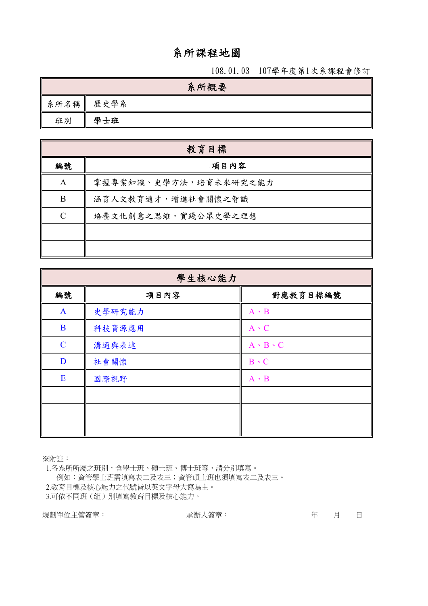# 系所課程地圖

108.01.03--107學年度第1次系課程會修訂

|      | 系所概要 |
|------|------|
| 系所名稱 | 歷史學系 |
| 班別   | 學士班  |

|               | 教育目標                  |
|---------------|-----------------------|
| 編號            | 項目內容                  |
| A             | 掌握專業知識、史學方法,培育未來研究之能力 |
| B             | 涵育人文教育通才,增進社會關懷之智識    |
| $\mathcal{C}$ | 培養文化創意之思維,實踐公眾史學之理想   |
|               |                       |
|               |                       |

|              | 學生核心能力 |                     |
|--------------|--------|---------------------|
| 編號           | 項目內容   | 對應教育目標編號            |
| $\mathbf{A}$ | 史學研究能力 | $A \cdot B$         |
| $\bf{B}$     | 科技資源應用 | $A \cdot C$         |
| $\mathbf C$  | 溝通與表達  | $A \cdot B \cdot C$ |
| D            | 社會關懷   | $B \cdot C$         |
| E            | 國際視野   | $A \cdot B$         |
|              |        |                     |
|              |        |                     |
|              |        |                     |

※附註:

 1.各系所所屬之班別,含學士班、碩士班、博士班等,請分別填寫。 例如:資管學士班需填寫表二及表三;資管碩士班也須填寫表二及表三。 2.教育目標及核心能力之代號皆以英文字母大寫為主。 3.可依不同班(組)別填寫教育目標及核心能力。

規劃單位主管簽章: 有一個 有一個 有一個 不辦人簽章: 有一個 有一個 月 日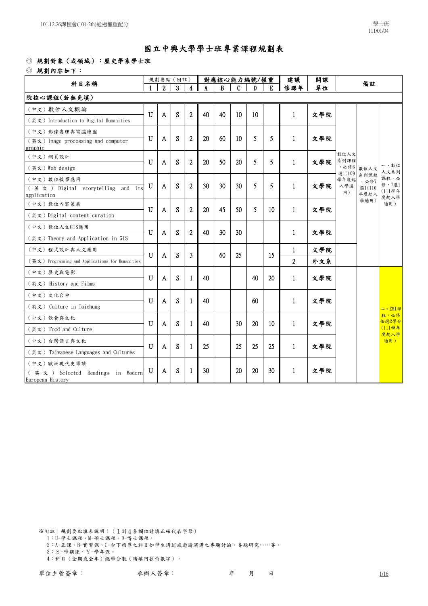### ◎ 規劃對象(或領域):歷史學系學士班

◎ 規劃內容如下:

| 科目名稱                                                         |                | 對應核心能力編號/權重<br>規劃要點 (附註) |   |                |    |          |              | 開課<br>建議 |                 | 備註             |     |                |                |                                |
|--------------------------------------------------------------|----------------|--------------------------|---|----------------|----|----------|--------------|----------|-----------------|----------------|-----|----------------|----------------|--------------------------------|
|                                                              |                | $\mathfrak{p}$           | 3 | 4              |    | <b>B</b> | $\mathsf{C}$ | Ð        | E.              | 修課年            | 單位  |                |                |                                |
| 院核心課程(若無免填)                                                  |                |                          |   |                |    |          |              |          |                 |                |     |                |                |                                |
| (中文) 數位人文概論                                                  |                |                          |   |                |    |          |              |          |                 |                |     |                |                |                                |
| (英文)Introduction to Digital Humanities                       | $\overline{U}$ | $\overline{A}$           | S | $\overline{2}$ | 40 | 40       | 10           | 10       |                 | $\mathbf{1}$   | 文學院 |                |                |                                |
| (中文)影像處理與電腦繪圖                                                |                |                          |   |                |    |          |              |          |                 |                |     |                |                |                                |
| $(\nexists \times)$ Image processing and computer<br>graphic | $\mathbf{U}$   | A                        | S | $\overline{2}$ | 20 | 60       | 10           | 5        | 5.              | $\mathbf{1}$   | 文學院 |                |                |                                |
| (中文) 網頁設計                                                    |                |                          |   |                |    |          |              |          |                 |                |     | 數位人文<br>系列課程   |                |                                |
| (英文) Web design                                              | $\mathbf{U}$   | A                        | S | $\overline{2}$ | 20 | 50       | 20           | 5        | 5.              | 1              | 文學院 | ,必修6           | 數位人文           | 一、數位<br>人文系列                   |
| (中文) 數位敘事應用                                                  |                |                          |   |                |    |          |              |          |                 |                |     | 選1(109<br>學年度起 | 系列課程<br>,必修7   | 課程,必                           |
| (英文) Digital storytelling and its<br>application             | U              | A                        | S | $\mathbf{2}$   | 30 | 30       | 30           | 5        | 5               | $\mathbf{1}$   | 文學院 | 入學適<br>用)      | 選1(110<br>年度起入 | 修,7選1<br>(111學年<br>度起入學<br>適用) |
| (中文) 數位內容策展                                                  | $\mathbf{U}$   | $\mathsf{A}$             | S | $\overline{2}$ | 20 | 45       | 50           | 5        | 10 <sup>°</sup> | $\mathbf{1}$   |     |                | 學適用)           |                                |
| (英文) Digital content curation                                |                |                          |   |                |    |          |              |          |                 |                | 文學院 |                |                |                                |
| (中文) 數位人文GIS應用                                               |                |                          |   |                |    |          |              |          |                 |                |     |                |                |                                |
| (英文) Theory and Application in GIS                           | $\overline{U}$ | $\Lambda$                | S | $\overline{2}$ | 40 | 30       | 30           |          |                 | $\mathbf{1}$   | 文學院 |                |                |                                |
| (中文)程式設計與人文應用                                                | $\mathbf{U}$   |                          | S | 3              |    | 60       | 25           |          | 15              | $\mathbf{1}$   | 文學院 |                |                |                                |
| (英文) Programming and Applications for Humanities             |                | $\mathbf{A}$             |   |                |    |          |              |          |                 | $\overline{2}$ | 外文系 |                |                |                                |
| (中文)歷史與電影                                                    | U              |                          | S |                | 40 |          |              | 40       | 20              | $\mathbf{1}$   | 文學院 |                |                |                                |
| (英文) History and Films                                       |                | A                        |   | 1.             |    |          |              |          |                 |                |     |                |                |                                |
| (中文) 文化台中                                                    | $\mathbf{U}$   |                          | S |                | 40 |          |              | 60       |                 |                |     |                |                |                                |
| (英文) Culture in Taichung                                     |                | A                        |   | -1             |    |          |              |          |                 | $\mathbf{1}$   | 文學院 |                |                | 二、EMI課                         |
| (中文) 飲食與文化                                                   | U              |                          |   |                |    |          |              |          |                 |                |     |                |                | 程,必修<br>任選2學分                  |
| (英文) Food and Culture                                        |                | $\mathbf{A}$             | S | $\mathbf{1}$   | 40 |          | 30           | 20       | 10              | $\mathbf{1}$   | 文學院 |                |                | (111學年<br>度起入學                 |
| (中文)台灣語言與文化                                                  | $\mathbf U$    |                          |   |                |    |          |              |          | 25              |                |     |                |                | 適用)                            |
| (英文) Taiwanese Languages and Cultures                        |                | $\mathbf{A}$             | S | 1              | 25 |          | 25           | 25       |                 | $\mathbf{1}$   | 文學院 |                |                |                                |
| (中文)歐洲現代史導讀                                                  |                |                          |   |                |    |          |              |          |                 |                |     |                |                |                                |
| (英文) Selected Readings in Modern<br>European History         | U              | A                        | S | 1              | 30 |          | 20           | 20       | 30              | 1              | 文學院 |                |                |                                |
|                                                              |                |                          |   |                |    |          |              |          |                 |                |     |                |                |                                |

※附註:規劃要點填表說明:(1到4各欄位請填正確代表字母) 1:U-學士課程、M-碩士課程、D-博士課程。

2:A-正課、B-實習課、C-台下指導之科目如學生講述或邀請演講之專題討論、專題研究……等。

3:S-學期課、Y-學年課。

4:科目(全期或全年)總學分數(請填阿拉伯數字)。

單位主管簽章: 承辦人簽章: 年 月 日 1/16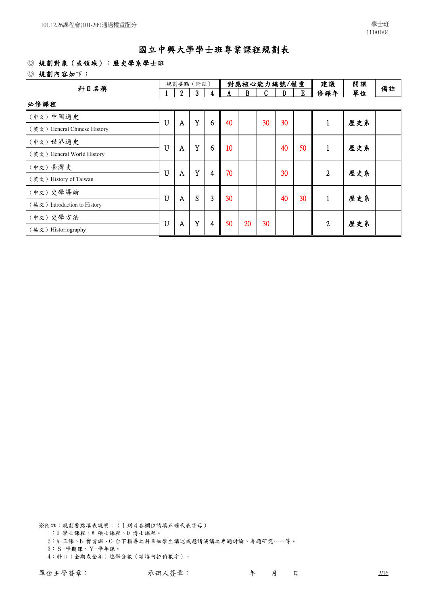#### ◎ 規劃對象(或領域):歷史學系學士班

#### ◎ 規劃內容如下:

| 科目名稱                         |              |                  | 規劃要點 (附註)        |   |    |    | 對應核心能力編號/權重  |    | 建議 | 開課           | 備註  |  |
|------------------------------|--------------|------------------|------------------|---|----|----|--------------|----|----|--------------|-----|--|
|                              | $\mathbf{1}$ | $\boldsymbol{2}$ | $\boldsymbol{3}$ | 4 | A  | B  | $\mathbf{C}$ | D  | Ľ  | 修課年          | 單位  |  |
| 必修課程                         |              |                  |                  |   |    |    |              |    |    |              |     |  |
| (中文)中國通史                     | U            |                  | Y                | 6 | 40 |    | 30           | 30 |    | 1            | 歷史系 |  |
| (英文) General Chinese History |              | A                |                  |   |    |    |              |    |    |              |     |  |
| (中文)世界通史                     | U            | A                | Y                | 6 | 10 |    |              | 40 | 50 | 1            | 歷史系 |  |
| (英文) General World History   |              |                  |                  |   |    |    |              |    |    |              |     |  |
| (中文)臺灣史                      | U            | A                | Y                |   | 70 |    |              | 30 |    | $\mathbf{2}$ | 歷史系 |  |
| (英文) History of Taiwan       |              |                  |                  | 4 |    |    |              |    |    |              |     |  |
| (中文)史學導論                     | U            |                  | S                | 3 | 30 |    |              | 40 | 30 |              | 歷史系 |  |
| (英文) Introduction to History |              | A                |                  |   |    |    |              |    |    | 1            |     |  |
| (中文)史學方法                     | U            |                  | $\mathbf Y$      | 4 | 50 | 20 | 30           |    |    | 2            | 歷史系 |  |
| (英文) Historiography          |              | A                |                  |   |    |    |              |    |    |              |     |  |

※附註:規劃要點填表說明:(1到4各欄位請填正確代表字母) 1:U-學士課程、M-碩士課程、D-博士課程。

2:A-正課、B-實習課、C-台下指導之科目如學生講述或邀請演講之專題討論、專題研究……等。

3:S-學期課、Y-學年課。

4:科目(全期或全年)總學分數(請填阿拉伯數字)。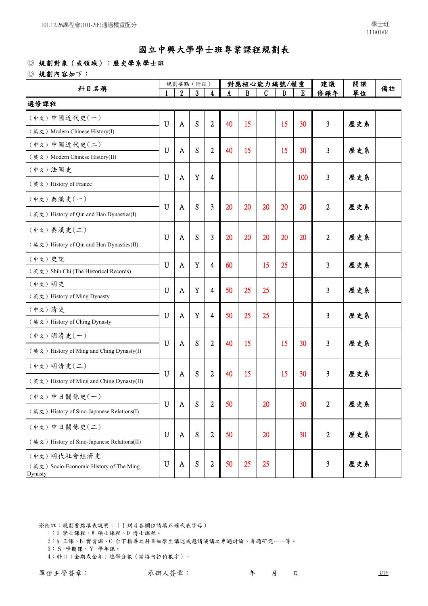#### ◎ 規劃對象(或領域):歷史學系學士班

#### ◎ 規劃內容如下:

| 科目名稱                                               |             | 規劃要點 (附註)                 |   |                  |    |    | 對應核心能力編號/權重 |    | 建議              | 備註               |     |  |
|----------------------------------------------------|-------------|---------------------------|---|------------------|----|----|-------------|----|-----------------|------------------|-----|--|
|                                                    |             | $\overline{2}$            | 3 | 4                |    | R  | C           | D  | E               | 修課年              | 單位  |  |
| 選修課程                                               |             |                           |   |                  |    |    |             |    |                 |                  |     |  |
| (中文)中國近代史(一)                                       | $\mathbf U$ | A                         | S | $\overline{2}$   | 40 | 15 |             | 15 | 30              | 3                | 歷史系 |  |
| (英文) Modern Chinese History(I)                     |             |                           |   |                  |    |    |             |    |                 |                  |     |  |
| (中文)中國近代史(二)                                       | $\mathbf U$ | A                         | S | $\overline{c}$   | 40 | 15 |             | 15 | 30              | 3                | 歷史系 |  |
| (英文) Modern Chinese History(II)                    |             |                           |   |                  |    |    |             |    |                 |                  |     |  |
| (中文)法國史                                            | U           | A                         | Y | 4                |    |    |             |    | 100             | 3                | 歷史系 |  |
| (英文) History of France                             |             |                           |   |                  |    |    |             |    |                 |                  |     |  |
| (中文) 秦漢史(一)                                        | $\mathbf U$ | A                         | S | 3                | 20 | 20 | 20          | 20 | 20              | 2                | 歷史系 |  |
| (英文) History of Qin and Han Dynasties(I)           |             |                           |   |                  |    |    |             |    |                 |                  |     |  |
| (中文) 秦漢史(二)                                        | $\mathbf U$ |                           | S | 3                | 20 | 20 | 20          | 20 | 20              | $\overline{2}$   |     |  |
| (英文) History of Qin and Han Dynasties(II)          |             | A                         |   |                  |    |    |             |    |                 |                  | 歷史系 |  |
| (中文)史記                                             | $\mathbf U$ | A                         | Y | 4                | 60 |    | 15          | 25 |                 | 3                | 歷史系 |  |
| (英文) Shih Chi (The Historical Records)             |             |                           |   |                  |    |    |             |    |                 |                  |     |  |
| (中文)明史                                             | $\mathbf U$ | A                         | Y | 4                | 50 | 25 | 25          |    |                 | 3                | 歷史系 |  |
| (英文) History of Ming Dynasty                       |             |                           |   |                  |    |    |             |    |                 |                  |     |  |
| (中文)清史                                             | U           | A                         | Y | 4                | 50 | 25 | 25          |    |                 | 3                | 歷史系 |  |
| (英文) History of Ching Dynasty                      |             |                           |   |                  |    |    |             |    |                 |                  |     |  |
| (中文)明清史(一)                                         | $\mathbf U$ | A                         | S | $\overline{2}$   | 40 | 15 |             | 15 | 30              | 3                | 歷史系 |  |
| (英文) History of Ming and Ching Dynasty(I)          |             |                           |   |                  |    |    |             |    |                 |                  |     |  |
| (中文)明清史(二)                                         | U           |                           | S | $\overline{2}$   | 40 | 15 |             | 15 | 30              |                  |     |  |
| (英文) History of Ming and Ching Dynasty(II)         |             | A                         |   |                  |    |    |             |    |                 | 3                | 歷史系 |  |
| (中文)中日關係史(一)                                       |             |                           |   |                  |    |    |             |    |                 |                  |     |  |
| (英文) History of Sino-Japanese Relations(I)         | ${\bf U}$   | $\boldsymbol{\mathsf{A}}$ | S | $\boldsymbol{2}$ | 50 |    | 20          |    | 30 <sup>°</sup> | $\boldsymbol{2}$ | 歷史系 |  |
| (中文)中日關係史(二)                                       |             |                           |   |                  |    |    |             |    |                 |                  |     |  |
| (英文) History of Sino-Japanese Relations(II)        | $\mathbf U$ | $\mathbf{A}$              | S | $\overline{2}$   | 50 |    | 20          |    | 30              | $\overline{2}$   | 歷史系 |  |
| (中文)明代社會經濟史                                        |             |                           |   |                  |    |    |             |    |                 |                  |     |  |
| (英文) Socio-Economic History of The Ming<br>Dynasty | $\mathbf U$ | A                         | S | 2                | 50 | 25 | 25          |    |                 | 3                | 歷史系 |  |

- 1:U-學士課程、M-碩士課程、D-博士課程。
- 2:A-正課、B-實習課、C-台下指導之科目如學生講述或邀請演講之專題討論、專題研究……等。
- 3:S-學期課、Y-學年課。
- 4:科目(全期或全年)總學分數(請填阿拉伯數字)。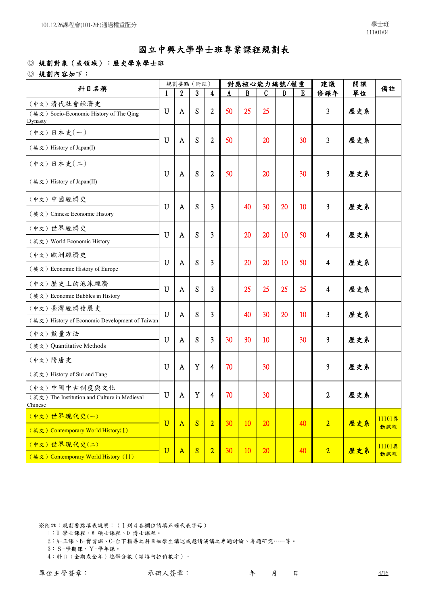### ◎ 規劃對象(或領域):歷史學系學士班

◎ 規劃內容如下:

| 科目名稱                                                          |                       |                  | 規劃要點 (附註)        |                |    |    | 對應核心能力編號/權重 |    |    | 建議                      | 開課  | 備註            |
|---------------------------------------------------------------|-----------------------|------------------|------------------|----------------|----|----|-------------|----|----|-------------------------|-----|---------------|
|                                                               | 1                     | $\boldsymbol{2}$ | $\boldsymbol{3}$ | 4              |    | B  | C           | D  | E  | 修課年                     | 單位  |               |
| (中文)清代社會經濟史                                                   |                       |                  |                  |                |    |    |             |    |    |                         |     |               |
| (英文) Socio-Economic History of The Qing<br>Dynasty            | $\mathbf U$           | A                | S                | $\mathbf{2}$   | 50 | 25 | 25          |    |    | 3                       | 歷史系 |               |
| (中文)日本史(一)                                                    | $\mathbf U$           | A                | S                | $\mathbf{2}$   | 50 |    | 20          |    | 30 | 3                       | 歷史系 |               |
| (英文) History of Japan(I)                                      |                       |                  |                  |                |    |    |             |    |    |                         |     |               |
| (中文)日本史(二)                                                    |                       |                  |                  |                |    |    |             |    |    |                         |     |               |
| (英文) History of Japan(II)                                     | $\mathbf U$           | A                | S                | $\mathbf{2}$   | 50 |    | 20          |    | 30 | 3                       | 歷史系 |               |
| (中文)中國經濟史                                                     | U                     | A                | S                | 3              |    | 40 | 30          | 20 | 10 | 3                       | 歷史系 |               |
| (英文) Chinese Economic History                                 |                       |                  |                  |                |    |    |             |    |    |                         |     |               |
| (中文)世界經濟史                                                     | U                     | A                | S                | 3              |    | 20 | 20          | 10 | 50 | $\overline{\mathbf{4}}$ | 歷史系 |               |
| (英文) World Economic History                                   |                       |                  |                  |                |    |    |             |    |    |                         |     |               |
| (中文)歐洲經濟史                                                     | $\mathbf U$           | A                | S                | 3              |    | 20 | 20          | 10 | 50 | 4                       | 歷史系 |               |
| (英文) Economic History of Europe                               |                       |                  |                  |                |    |    |             |    |    |                         |     |               |
| (中文) 歷史上的泡沫經濟                                                 | U                     | A                | S                | 3              |    | 25 | 25          | 25 | 25 | 4                       | 歷史系 |               |
| (英文) Economic Bubbles in History                              |                       |                  |                  |                |    |    |             |    |    |                         |     |               |
| (中文)臺灣經濟發展史                                                   | $\overline{U}$        | A                | S                | 3              |    | 40 | 30          | 20 | 10 | 3                       | 歷史系 |               |
| (英文) History of Economic Development of Taiwan                |                       |                  |                  |                |    |    |             |    |    |                         |     |               |
| (中文) 數量方法                                                     | $\mathbf U$           | A                | S                | 3              | 30 | 30 | 10          |    | 30 | 3                       | 歷史系 |               |
| (英文) Quantitative Methods                                     |                       |                  |                  |                |    |    |             |    |    |                         |     |               |
| (中文) 隋唐史                                                      | U                     | A                | Y                | $\overline{4}$ | 70 |    | 30          |    |    | 3                       | 歷史系 |               |
| (英文) History of Sui and Tang                                  |                       |                  |                  |                |    |    |             |    |    |                         |     |               |
| (中文)中國中古制度與文化<br>(英文) The Institution and Culture in Medieval | $\mathbf U$           | A                | Y                | 4              | 70 |    | 30          |    |    | 2                       | 歷史系 |               |
| Chinese                                                       |                       |                  |                  |                |    |    |             |    |    |                         |     |               |
| (中文)世界現代史(一)                                                  | $\overline{U}$        | $\mathbf{A}$     | S                | $\overline{2}$ | 30 | 10 | 20          |    | 40 | $\overline{2}$          | 歷史系 | 11101異        |
| (英文) Contemporary World History(I)                            |                       |                  |                  |                |    |    |             |    |    |                         |     | 動課程           |
| (中文)世界現代史(二)                                                  | $\overline{\text{U}}$ | $\overline{A}$   | S                | $\overline{2}$ | 30 | 10 | 20          |    | 40 | $\overline{2}$          | 歷史系 | 11101異<br>動課程 |
| (英文) Contemporary World History (II)                          |                       |                  |                  |                |    |    |             |    |    |                         |     |               |

※附註:規劃要點填表說明:(1到4各欄位請填正確代表字母)

- 1:U-學士課程、M-碩士課程、D-博士課程。
- 2:A-正課、B-實習課、C-台下指導之科目如學生講述或邀請演講之專題討論、專題研究……等。
- 3:S-學期課、Y-學年課。
- 4:科目(全期或全年)總學分數(請填阿拉伯數字)。

單位主管簽章: 承辦人簽章: 年 月 日 4/16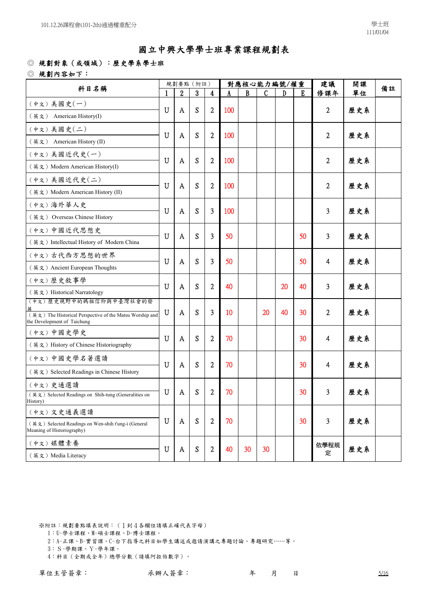#### ◎ 規劃對象(或領域):歷史學系學士班

◎ 規劃內容如下:

| 科目名稱                                                                                    |             |   | 規劃要點 (附註) |                |     |    | 對應核心能力編號/權重 |    |    | 建議             | 開課<br>單位<br>歷史系<br>歷史系<br>歷史系<br>歷史系<br>歷史系<br>歷史系<br>歷史系<br>歷史系<br>歷史系<br>歷史系<br>歷史系 | 備註 |
|-----------------------------------------------------------------------------------------|-------------|---|-----------|----------------|-----|----|-------------|----|----|----------------|---------------------------------------------------------------------------------------|----|
|                                                                                         |             | 2 | 3         | 4              |     | B  | C           | D  | E  | 修課年            |                                                                                       |    |
| (中文) 美國史(一)                                                                             | $\mathbf U$ | A | S         | $\overline{c}$ | 100 |    |             |    |    | 2              |                                                                                       |    |
| (英文) American History(I)                                                                |             |   |           |                |     |    |             |    |    |                |                                                                                       |    |
| (中文) 美國史(二)                                                                             | U           | A | S         | $\overline{2}$ | 100 |    |             |    |    | $\overline{c}$ |                                                                                       |    |
| (英文) American History (II)                                                              |             |   |           |                |     |    |             |    |    |                |                                                                                       |    |
| (中文)美國近代史(一)                                                                            | $\mathbf U$ | A | S         | $\overline{2}$ | 100 |    |             |    |    | 2              |                                                                                       |    |
| (英文) Modern American History(I)                                                         |             |   |           |                |     |    |             |    |    |                |                                                                                       |    |
| (中文)美國近代史(二)                                                                            | U           | A | S         | $\overline{2}$ | 100 |    |             |    |    | 2              |                                                                                       |    |
| (英文) Modern American History (II)                                                       |             |   |           |                |     |    |             |    |    |                |                                                                                       |    |
| (中文)海外華人史                                                                               | U           | A | S         | 3              | 100 |    |             |    |    | 3              |                                                                                       |    |
| (英文) Overseas Chinese History                                                           |             |   |           |                |     |    |             |    |    |                |                                                                                       |    |
| (中文)中國近代思想史                                                                             | U           | A | S         | 3              | 50  |    |             |    | 50 | 3              |                                                                                       |    |
| (英文) Intellectual History of Modern China                                               |             |   |           |                |     |    |             |    |    |                |                                                                                       |    |
| (中文)古代西方思想的世界                                                                           | U           | A | S         | 3              | 50  |    |             |    | 50 | 4              |                                                                                       |    |
| (英文) Ancient European Thoughts                                                          |             |   |           |                |     |    |             |    |    |                |                                                                                       |    |
| (中文) 歷史敘事學                                                                              | $\mathbf U$ | A | S         | $\overline{2}$ | 40  |    |             | 20 | 40 | 3              |                                                                                       |    |
| (英文) Historical Narratology                                                             |             |   |           |                |     |    |             |    |    |                |                                                                                       |    |
| (中文) 歷史視野中的媽祖信仰與中臺灣社會的發                                                                 |             |   |           | 3              |     |    |             | 40 |    |                |                                                                                       |    |
| (英文) The Historical Perspective of the Matsu Worship and<br>the Development of Taichung | U           | A | S         |                | 10  |    | 20          |    | 30 | $\mathbf{2}$   |                                                                                       |    |
| (中文)中國史學史                                                                               | U           |   | S         | $\overline{2}$ | 70  |    |             |    | 30 |                |                                                                                       |    |
| (英文) History of Chinese Historiography                                                  |             | A |           |                |     |    |             |    |    | 4              |                                                                                       |    |
| (中文)中國史學名著選讀                                                                            |             |   |           |                |     |    |             |    |    |                |                                                                                       |    |
| (英文) Selected Readings in Chinese History                                               | U           | A | S         | $\overline{2}$ | 70  |    |             |    | 30 | 4              |                                                                                       |    |
| (中文)史通選讀                                                                                |             |   |           |                |     |    |             |    |    |                |                                                                                       |    |
| (英文) Selected Readings on Shih-tung (Generalities on<br>History)                        | U           | A | S         | 2              | 70  |    |             |    | 30 | 3              | 歷史系                                                                                   |    |
| (中文)文史通義選讀                                                                              |             |   |           |                |     |    |             |    |    |                |                                                                                       |    |
| (英文) Selected Readings on Wen-shih t'ung-i (General<br>Meaning of Historiography)       | U           | A | S         | $\overline{2}$ | 70  |    |             |    | 30 | 3              | 歷史系                                                                                   |    |
| (中文) 媒體素養                                                                               |             |   |           |                |     |    |             |    |    | 依學程規           |                                                                                       |    |
| (英文) Media Literacy                                                                     | U           | A | S         | 2              | 40  | 30 | 30          |    |    | 定              | 歷史系                                                                                   |    |

※附註:規劃要點填表說明:(1到4各欄位請填正確代表字母)

1:U-學士課程、M-碩士課程、D-博士課程。

2:A-正課、B-實習課、C-台下指導之科目如學生講述或邀請演講之專題討論、專題研究……等。

3:S-學期課、Y-學年課。

4:科目(全期或全年)總學分數(請填阿拉伯數字)。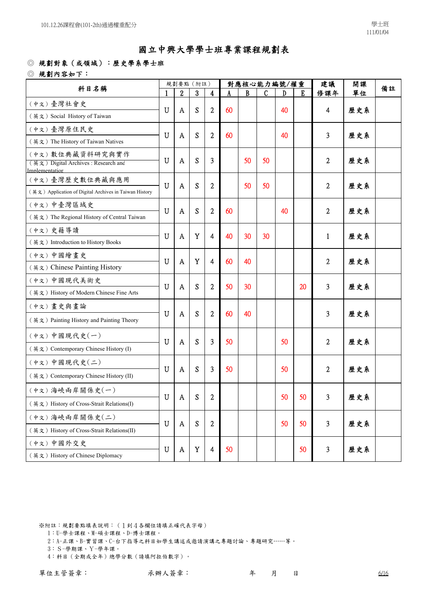### ◎ 規劃對象(或領域):歷史學系學士班

◎ 規劃內容如下:

| 科目名稱                                                   |             |   | 規劃要點 (附註)   |                  |    |    | 對應核心能力編號/權重 |    |    | 建議             | 開課  | 備註 |
|--------------------------------------------------------|-------------|---|-------------|------------------|----|----|-------------|----|----|----------------|-----|----|
|                                                        |             | 2 | 3           | 4                |    | B  | C           | D  | E  | 修課年            | 單位  |    |
| (中文)臺灣社會史                                              | $\mathbf U$ |   | S           | $\overline{c}$   | 60 |    |             | 40 |    | 4              |     |    |
| (英文) Social History of Taiwan                          |             | A |             |                  |    |    |             |    |    |                | 歷史系 |    |
| (中文)臺灣原住民史                                             | U           | A | S           | $\overline{2}$   | 60 |    |             | 40 |    | 3              | 歷史系 |    |
| (英文) The History of Taiwan Natives                     |             |   |             |                  |    |    |             |    |    |                |     |    |
| (中文)數位典藏資料研究與實作                                        | $\mathbf U$ | A | S           | 3                |    | 50 | 50          |    |    | $\overline{2}$ | 歷史系 |    |
| (英文) Digital Archives: Research and<br>Implementation  |             |   |             |                  |    |    |             |    |    |                |     |    |
| (中文)臺灣歷史數位典藏與應用                                        |             |   |             |                  |    |    |             |    |    |                |     |    |
| (英文) Application of Digital Archives in Taiwan History | U           | A | S           | $\overline{2}$   |    | 50 | 50          |    |    | $\overline{2}$ | 歷史系 |    |
| (中文)中臺灣區域史                                             | U           |   |             |                  |    |    |             |    |    |                |     |    |
| (英文) The Regional History of Central Taiwan            |             | A | S           | $\overline{c}$   | 60 |    |             | 40 |    | 2              | 歷史系 |    |
| (中文)史籍導讀                                               | U           |   | Y           | 4                | 40 | 30 | 30          |    |    |                |     |    |
| (英文) Introduction to History Books                     |             | A |             |                  |    |    |             |    |    | $\mathbf{1}$   | 歷史系 |    |
| (中文)中國繪畫史                                              | U           | A | Y           | 4                | 60 | 40 |             |    |    | 2              | 歷史系 |    |
| (英文) Chinese Painting History                          |             |   |             |                  |    |    |             |    |    |                |     |    |
| (中文)中國現代美術史                                            | U           | A | S           | $\overline{2}$   | 50 | 30 |             |    | 20 | 3              | 歷史系 |    |
| (英文) History of Modern Chinese Fine Arts               |             |   |             |                  |    |    |             |    |    |                |     |    |
| (中文)畫史與畫論                                              |             |   |             |                  |    |    |             |    |    |                |     |    |
| (英文) Painting History and Painting Theory              | U           | A | S           | $\overline{2}$   | 60 | 40 |             |    |    | 3              | 歷史系 |    |
| (中文)中國現代史(一)                                           | U           |   | S           | 3                | 50 |    |             | 50 |    | $\overline{2}$ |     |    |
| (英文) Contemporary Chinese History (I)                  |             | A |             |                  |    |    |             |    |    |                | 歷史系 |    |
| (中文)中國現代史(二)                                           |             |   |             |                  |    |    |             |    |    |                |     |    |
| (英文) Contemporary Chinese History (II)                 | U           | A | S           | 3                | 50 |    |             | 50 |    | $\overline{2}$ | 歷史系 |    |
| (中文)海峽兩岸關係史(一)                                         | $\mathbf U$ | A | S           | $\boldsymbol{2}$ |    |    |             | 50 | 50 | 3              | 歷史系 |    |
| (英文) History of Cross-Strait Relations(I)              |             |   |             |                  |    |    |             |    |    |                |     |    |
| (中文)海峽兩岸關係史(二)                                         | U           | A | S           | $\overline{2}$   |    |    |             | 50 | 50 | $\overline{3}$ | 歷史系 |    |
| (英文) History of Cross-Strait Relations(II)             |             |   |             |                  |    |    |             |    |    |                |     |    |
| (中文)中國外交史                                              | $\mathbf U$ | A | $\mathbf Y$ | $\overline{4}$   | 50 |    |             |    | 50 | 3              | 歷史系 |    |
| (英文) History of Chinese Diplomacy                      |             |   |             |                  |    |    |             |    |    |                |     |    |

※附註:規劃要點填表說明:(1到4各欄位請填正確代表字母)

- 1:U-學士課程、M-碩士課程、D-博士課程。
- 2:A-正課、B-實習課、C-台下指導之科目如學生講述或邀請演講之專題討論、專題研究……等。
- 3:S-學期課、Y-學年課。
- 4:科目(全期或全年)總學分數(請填阿拉伯數字)。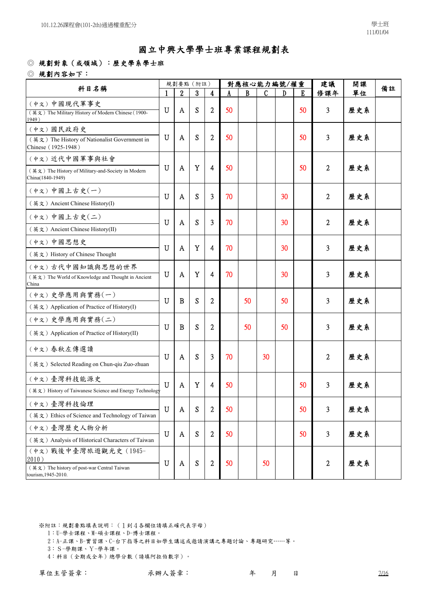### ◎ 規劃對象(或領域):歷史學系學士班

◎ 規劃內容如下:

| 科目名稱                                                                   |                |                  | 規劃要點 (附註)        |                  |    | 對應核心能力編號/權重 |    |    |    | 建議               | 開課  | 備註 |
|------------------------------------------------------------------------|----------------|------------------|------------------|------------------|----|-------------|----|----|----|------------------|-----|----|
|                                                                        |                | $\boldsymbol{2}$ | $\boldsymbol{3}$ | 4                |    | B           | C  | D  | E  | 修課年              | 單位  |    |
| (中文)中國現代軍事史                                                            | $\mathbf U$    |                  |                  |                  |    |             |    |    |    |                  |     |    |
| (英文) The Military History of Modern Chinese (1900-<br>1949)            |                | A                | S                | $\overline{2}$   | 50 |             |    |    | 50 | 3                | 歷史系 |    |
| (中文) 國民政府史                                                             |                |                  |                  |                  |    |             |    |    |    |                  |     |    |
| (英文) The History of Nationalist Government in<br>Chinese (1925-1948)   | $\mathbf U$    | A                | S                | 2                | 50 |             |    |    | 50 | 3                | 歷史系 |    |
| (中文)近代中國軍事與社會                                                          |                |                  |                  |                  |    |             |    |    |    |                  |     |    |
| (英文) The History of Military-and-Society in Modern<br>China(1840-1949) | U              | A                | Y                | 4                | 50 |             |    |    | 50 | 2                | 歷史系 |    |
| (中文)中國上古史(一)                                                           | U              | A                | S                | 3                | 70 |             |    | 30 |    | 2                | 歷史系 |    |
| (英文) Ancient Chinese History(I)                                        |                |                  |                  |                  |    |             |    |    |    |                  |     |    |
| (中文)中國上古史(二)                                                           | U              | A                | S                | 3                | 70 |             |    | 30 |    | 2                | 歷史系 |    |
| (英文) Ancient Chinese History(II)                                       |                |                  |                  |                  |    |             |    |    |    |                  |     |    |
| (中文)中國思想史                                                              | $\mathbf U$    | A                | Y                | 4                | 70 |             |    | 30 |    | 3                | 歷史系 |    |
| (英文) History of Chinese Thought                                        |                |                  |                  |                  |    |             |    |    |    |                  |     |    |
| (中文)古代中國知識與思想的世界                                                       |                |                  |                  |                  |    |             |    |    |    |                  |     |    |
| (英文) The World of Knowledge and Thought in Ancient<br>China            | $\mathbf U$    | A                | Y                | 4                | 70 |             |    | 30 |    | 3                | 歷史系 |    |
| (中文)史學應用與實務(一)                                                         | U              | B                | S                | $\overline{2}$   |    | 50          |    | 50 |    | 3                | 歷史系 |    |
| (英文) Application of Practice of History(I)                             |                |                  |                  |                  |    |             |    |    |    |                  |     |    |
| (中文)史學應用與實務(二)                                                         | U              | B                | S                |                  |    | 50          |    | 50 |    |                  |     |    |
| (英文) Application of Practice of History(II)                            |                |                  |                  | 2                |    |             |    |    |    | 3                | 歷史系 |    |
| (中文)春秋左傳選讀                                                             |                |                  |                  |                  |    |             |    |    |    |                  |     |    |
| (英文) Selected Reading on Chun-qiu Zuo-zhuan                            | U              | A                | S                | 3                | 70 |             | 30 |    |    | 2                | 歷史系 |    |
| (中文)臺灣科技能源史                                                            | $\overline{U}$ | A                | Y                | 4                | 50 |             |    |    | 50 | 3                | 歷史系 |    |
| (英文) History of Taiwanese Science and Energy Technology                |                |                  |                  |                  |    |             |    |    |    |                  |     |    |
| (中文)臺灣科技倫理                                                             | $\mathbf U$    | A                | S                | $\boldsymbol{2}$ | 50 |             |    |    | 50 | 3                | 歷史系 |    |
| (英文) Ethics of Science and Technology of Taiwan                        |                |                  |                  |                  |    |             |    |    |    |                  |     |    |
| (中文)臺灣歷史人物分析                                                           | $\mathbf U$    | A                | S                | $\boldsymbol{2}$ | 50 |             |    |    | 50 | 3                | 歷史系 |    |
| (英文) Analysis of Historical Characters of Taiwan                       |                |                  |                  |                  |    |             |    |    |    |                  |     |    |
| (中文) 戰後中臺灣旅遊觀光史 (1945-<br>2010)                                        |                |                  |                  |                  |    |             |    |    |    |                  |     |    |
| (英文) The history of post-war Central Taiwan                            | $\mathbf U$    | A                | S                | $\boldsymbol{2}$ | 50 |             | 50 |    |    | $\boldsymbol{2}$ | 歷史系 |    |
| tourism, 1945-2010.                                                    |                |                  |                  |                  |    |             |    |    |    |                  |     |    |

※附註:規劃要點填表說明:(1到4各欄位請填正確代表字母)

1:U-學士課程、M-碩士課程、D-博士課程。

- 2:A-正課、B-實習課、C-台下指導之科目如學生講述或邀請演講之專題討論、專題研究……等。
- 3:S-學期課、Y-學年課。

4:科目(全期或全年)總學分數(請填阿拉伯數字)。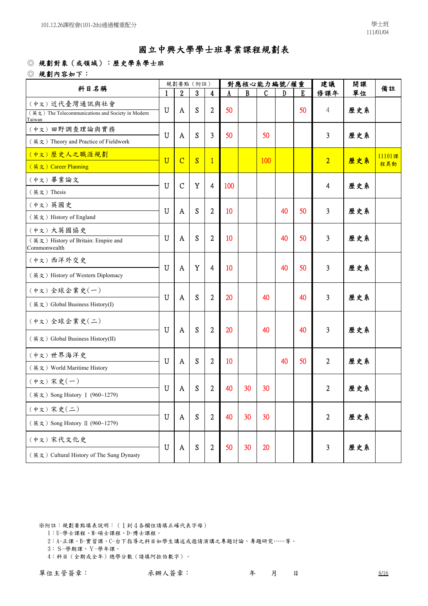### ◎ 規劃對象(或領域):歷史學系學士班

◎ 規劃內容如下:

| 科目名稱                                                                         |                       |                  | 規劃要點 (附註)        |                         |     |              | 對應核心能力編號/權重  |    |    | 建議             | 開課  | 備註            |
|------------------------------------------------------------------------------|-----------------------|------------------|------------------|-------------------------|-----|--------------|--------------|----|----|----------------|-----|---------------|
|                                                                              |                       | $\boldsymbol{2}$ | $\boldsymbol{3}$ | $\overline{\mathbf{4}}$ |     | $\mathbf{B}$ | $\mathbf{C}$ | D  | E  | 修課年            | 單位  |               |
| (中文)近代臺灣通訊與社會<br>(英文) The Telecommunications and Society in Modern<br>Taiwan | U                     | A                | S                | $\overline{c}$          | 50  |              |              |    | 50 | 4              | 歷史系 |               |
| (中文)田野調查理論與實務<br>(英文) Theory and Practice of Fieldwork                       | U                     | A                | S                | 3                       | 50  |              | 50           |    |    | 3              | 歷史系 |               |
| (中文) 歷史人之職涯規劃<br>(英文) Career Planning                                        | $\overline{\text{U}}$ | $\overline{C}$   | S                | $\mathbf{1}$            |     |              | 100          |    |    | $\overline{2}$ | 歷史系 | 11101課<br>程異動 |
| (中文)畢業論文<br>(英文) Thesis                                                      | $\mathbf U$           | $\mathsf{C}$     | Y                | 4                       | 100 |              |              |    |    | 4              | 歷史系 |               |
| (中文) 英國史<br>(英文) History of England                                          | $\mathbf U$           | A                | S                | $\overline{c}$          | 10  |              |              | 40 | 50 | 3              | 歷史系 |               |
| (中文)大英國協史<br>(英文) History of Britain: Empire and<br>Commonwealth             | U                     | A                | S                | $\overline{2}$          | 10  |              |              | 40 | 50 | 3              | 歷史系 |               |
| (中文)西洋外交史<br>(英文) History of Western Diplomacy                               | $\mathbf U$           | A                | Y                | 4                       | 10  |              |              | 40 | 50 | 3              | 歷史系 |               |
| (中文)全球企業史(一)<br>(英文) Global Business History(I)                              | $\mathbf U$           | A                | S                | 2                       | 20  |              | 40           |    | 40 | 3              | 歷史系 |               |
| (中文)全球企業史(二)<br>(英文) Global Business History(II)                             | U                     | A                | S                | $\overline{2}$          | 20  |              | 40           |    | 40 | 3              | 歷史系 |               |
| (中文)世界海洋史<br>(英文) World Maritime History                                     | U                     | A                | S                | $\overline{c}$          | 10  |              |              | 40 | 50 | $\overline{2}$ | 歷史系 |               |
| (中文)宋史(一)<br>(英文) Song History I (960~1279)                                  | U                     | A                | S                | 2                       | 40  | 30           | 30           |    |    | 2              | 歷史系 |               |
| (中文)宋史(二)<br>(英文) Song History II (960~1279)                                 | U                     | $\mathbf{A}$     | S                | $\overline{2}$          | 40  | 30           | 30           |    |    | $\overline{2}$ | 歷史系 |               |
| (中文)宋代文化史<br>(英文) Cultural History of The Sung Dynasty                       | U                     | A                | S                | $\boldsymbol{2}$        | 50  | 30           | 20           |    |    | 3              | 歷史系 |               |

※附註:規劃要點填表說明:(1到4各欄位請填正確代表字母)

- 1:U-學士課程、M-碩士課程、D-博士課程。
- 2:A-正課、B-實習課、C-台下指導之科目如學生講述或邀請演講之專題討論、專題研究……等。
- 3:S-學期課、Y-學年課。
- 4:科目(全期或全年)總學分數(請填阿拉伯數字)。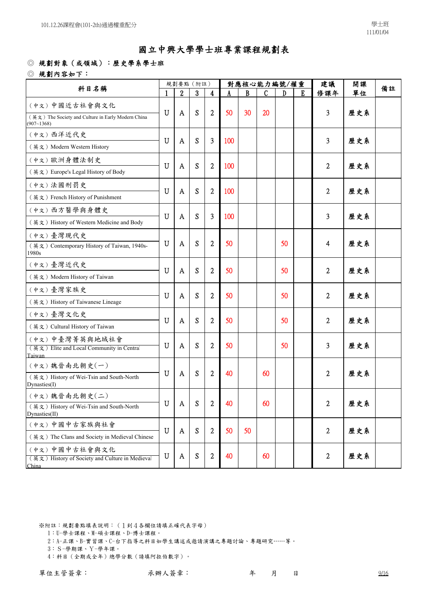### ◎ 規劃對象(或領域):歷史學系學士班

◎ 規劃內容如下:

|                                                                  |              |                           | 規劃要點 (附註)        |                  |     |    | 對應核心能力編號/權重 |    |   | 建議             | 開課  |    |
|------------------------------------------------------------------|--------------|---------------------------|------------------|------------------|-----|----|-------------|----|---|----------------|-----|----|
| 科目名稱                                                             | $\mathbf{1}$ | $\boldsymbol{2}$          | $\boldsymbol{3}$ | $\boldsymbol{4}$ |     | B  | C           | D  | E | 修課年            | 單位  | 備註 |
| (中文)中國近古社會與文化                                                    | $\mathbf U$  | A                         | S                | 2                | 50  | 30 | 20          |    |   | 3              | 歷史系 |    |
| (英文) The Society and Culture in Early Modern China<br>(907~1368) |              |                           |                  |                  |     |    |             |    |   |                |     |    |
| (中文)西洋近代史                                                        |              |                           |                  |                  |     |    |             |    |   |                |     |    |
| (英文) Modern Western History                                      | U            | A                         | S                | 3                | 100 |    |             |    |   | 3              | 歷史系 |    |
| (中文)歐洲身體法制史                                                      | U            |                           | S                |                  |     |    |             |    |   |                |     |    |
| (英文) Europe's Legal History of Body                              |              | A                         |                  | $\overline{c}$   | 100 |    |             |    |   | 2              | 歷史系 |    |
| (中文)法國刑罰史                                                        |              |                           |                  |                  |     |    |             |    |   |                |     |    |
| (英文) French History of Punishment                                | U            | A                         | S                | $\overline{2}$   | 100 |    |             |    |   | $\overline{2}$ | 歷史系 |    |
| (中文)西方醫學與身體史                                                     |              |                           |                  |                  |     |    |             |    |   |                |     |    |
| (英文) History of Western Medicine and Body                        | $\mathbf U$  | A                         | S                | 3                | 100 |    |             |    |   | 3              | 歷史系 |    |
| (中文)臺灣現代史                                                        |              |                           |                  |                  |     |    |             |    |   |                |     |    |
| (英文) Contemporary History of Taiwan, 1940s-<br>1980s             | U            | A                         | S                | $\overline{2}$   | 50  |    |             | 50 |   | 4              | 歷史系 |    |
| (中文)臺灣近代史                                                        | U            | A                         | S                | $\overline{2}$   | 50  |    |             | 50 |   | 2              | 歷史系 |    |
| (英文) Modern History of Taiwan                                    |              |                           |                  |                  |     |    |             |    |   |                |     |    |
| (中文)臺灣家族史                                                        | $\mathbf U$  | A                         | S                | $\overline{2}$   | 50  |    |             | 50 |   | $\overline{2}$ | 歷史系 |    |
| (英文) History of Taiwanese Lineage                                |              |                           |                  |                  |     |    |             |    |   |                |     |    |
| (中文)臺灣文化史                                                        | U            | A                         | S                | $\overline{2}$   | 50  |    |             | 50 |   | 2              | 歷史系 |    |
| (英文) Cultural History of Taiwan                                  |              |                           |                  |                  |     |    |             |    |   |                |     |    |
| (中文)中臺灣菁英與地域社會                                                   | U            | A                         | S                | $\overline{2}$   | 50  |    |             | 50 |   | 3              | 歷史系 |    |
| (英文) Elite and Local Community in Central<br>Taiwan              |              |                           |                  |                  |     |    |             |    |   |                |     |    |
| (中文)魏晉南北朝史(一)                                                    |              |                           |                  |                  |     |    |             |    |   |                |     |    |
| (英文) History of Wei-Tsin and South-North<br>Dynasties(I)         | U            | A                         | S                | $\overline{2}$   | 40  |    | 60          |    |   | 2              | 歷史系 |    |
| (中文)魏晉南北朝史(二)                                                    |              |                           |                  |                  |     |    |             |    |   |                |     |    |
| (英文) History of Wei-Tsin and South-North                         | ${\bf U}$    | $\boldsymbol{\mathrm{A}}$ | S                | $\boldsymbol{2}$ | 40  |    | 60          |    |   | $\overline{2}$ | 歷史系 |    |
| Dynasties(II)                                                    |              |                           |                  |                  |     |    |             |    |   |                |     |    |
| (中文)中國中古家族與社會                                                    | U            | A                         | S                | $\overline{2}$   | 50  | 50 |             |    |   | $\overline{2}$ | 歷史系 |    |
| (英文) The Clans and Society in Medieval Chinese                   |              |                           |                  |                  |     |    |             |    |   |                |     |    |
| (中文)中國中古社會與文化<br>(英文) History of Society and Culture in Medieval | $\mathbf U$  | A                         | S                | $\overline{c}$   | 40  |    | 60          |    |   | $\overline{2}$ | 歷史系 |    |
| China                                                            |              |                           |                  |                  |     |    |             |    |   |                |     |    |

※附註:規劃要點填表說明:(1到4各欄位請填正確代表字母)

1:U-學士課程、M-碩士課程、D-博士課程。

2:A-正課、B-實習課、C-台下指導之科目如學生講述或邀請演講之專題討論、專題研究……等。

3:S-學期課、Y-學年課。

4:科目(全期或全年)總學分數(請填阿拉伯數字)。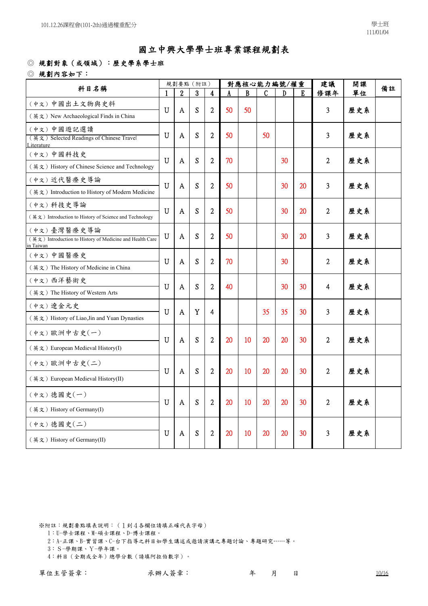### ◎ 規劃對象(或領域):歷史學系學士班

◎ 規劃內容如下:

| 科目名稱                                                                                 |   |                  | 規劃要點 (附註) |                  |    |    | 對應核心能力編號/權重 |    | 建議 | 開課             | 備註  |  |
|--------------------------------------------------------------------------------------|---|------------------|-----------|------------------|----|----|-------------|----|----|----------------|-----|--|
|                                                                                      | 1 | $\boldsymbol{2}$ | 3         | $\boldsymbol{4}$ | A  | B  | C           | D  | E  | 修課年            | 單位  |  |
| (中文)中國出土文物與史料                                                                        | U | A                | S         | $\overline{c}$   | 50 | 50 |             |    |    | 3              | 歷史系 |  |
| (英文) New Archaeological Finds in China                                               |   |                  |           |                  |    |    |             |    |    |                |     |  |
| (中文)中國遊記選讀<br>(英文) Selected Readings of Chinese Travel<br>Literature                 | U | A                | S         | $\overline{2}$   | 50 |    | 50          |    |    | 3              | 歷史系 |  |
| (中文)中國科技史<br>(英文) History of Chinese Science and Technology                          | U | A                | S         | $\overline{2}$   | 70 |    |             | 30 |    | $\overline{c}$ | 歷史系 |  |
| (中文)近代醫療史導論<br>(英文) Introduction to History of Modern Medicine                       | U | A                | S         | $\overline{2}$   | 50 |    |             | 30 | 20 | 3              | 歷史系 |  |
| (中文)科技史導論<br>(英文) Introduction to History of Science and Technology                  | U | A                | S         | $\overline{2}$   | 50 |    |             | 30 | 20 | $\overline{2}$ | 歷史系 |  |
| (中文)臺灣醫療史導論<br>(英文) Introduction to History of Medicine and Health Care<br>in Taiwan | U | A                | S         | $\overline{2}$   | 50 |    |             | 30 | 20 | 3              | 歷史系 |  |
| (中文)中國醫療史<br>(英文) The History of Medicine in China                                   | U | A                | S         | $\overline{2}$   | 70 |    |             | 30 |    | $\overline{2}$ | 歷史系 |  |
| (中文)西洋藝術史<br>(英文) The History of Western Arts                                        | U | A                | S         | $\overline{2}$   | 40 |    |             | 30 | 30 | 4              | 歷史系 |  |
| (中文)遼金元史<br>(英文) History of Liao, Jin and Yuan Dynasties                             | U | A                | Y         | 4                |    |    | 35          | 35 | 30 | 3              | 歷史系 |  |
| (中文)歐洲中古史(一)<br>(英文) European Medieval History(I)                                    | U | A                | S         | $\overline{2}$   | 20 | 10 | 20          | 20 | 30 | $\overline{2}$ | 歷史系 |  |
| (中文)歐洲中古史(二)<br>(英文) European Medieval History(II)                                   | U | A                | S         | $\overline{2}$   | 20 | 10 | 20          | 20 | 30 | 2              | 歷史系 |  |
| (中文)德國史(一)<br>(英文) History of Germany(I)                                             | U | A                | S         | $\overline{2}$   | 20 | 10 | 20          | 20 | 30 | $\mathbf{2}$   | 歷史系 |  |
| (中文)德國史(二)<br>(英文) History of Germany(II)                                            | U | A                | S         | 2                | 20 | 10 | 20          | 20 | 30 | 3              | 歷史系 |  |

※附註:規劃要點填表說明:(1到4各欄位請填正確代表字母)

- 1:U-學士課程、M-碩士課程、D-博士課程。
- 2:A-正課、B-實習課、C-台下指導之科目如學生講述或邀請演講之專題討論、專題研究……等。
- 3:S-學期課、Y-學年課。
- 4:科目(全期或全年)總學分數(請填阿拉伯數字)。

單位主管簽章: 不辨人簽章: 不許不定 再 月 日 10/16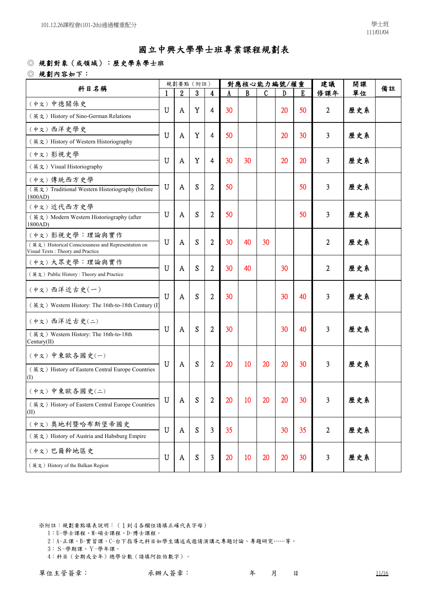### ◎ 規劃對象(或領域):歷史學系學士班

◎ 規劃內容如下:

| 科目名稱                                                                                     |             |                  | 規劃要點 (附註)        |                |    |    | 對應核心能力編號/權重 |    | 建議 | 開課<br>單位<br>歷史系<br>歷史系<br>歷史系<br>歷史系<br>歷史系<br>歷史系<br>歷史系<br>歷史系 | 備註  |  |
|------------------------------------------------------------------------------------------|-------------|------------------|------------------|----------------|----|----|-------------|----|----|------------------------------------------------------------------|-----|--|
|                                                                                          |             | $\boldsymbol{2}$ | $\boldsymbol{3}$ | 4              |    | B  | C           | D  | E  | 修課年                                                              |     |  |
| (中文)中德關係史                                                                                |             |                  |                  |                |    |    |             |    |    |                                                                  |     |  |
| (英文) History of Sino-German Relations                                                    | U           | A                | Y                | 4              | 30 |    |             | 20 | 50 | 2                                                                |     |  |
| (中文)西洋史學史                                                                                | U           | A                | Y                | 4              | 50 |    |             | 20 | 30 | 3                                                                |     |  |
| (英文) History of Western Historiography                                                   |             |                  |                  |                |    |    |             |    |    |                                                                  |     |  |
| (中文)影視史學                                                                                 | $\mathbf U$ |                  | $\mathbf Y$      |                | 30 |    |             | 20 |    |                                                                  |     |  |
| (英文) Visual Historiography                                                               |             | A                |                  | 4              |    | 30 |             |    | 20 | 3                                                                |     |  |
| (中文) 傳統西方史學                                                                              |             |                  |                  |                |    |    |             |    |    |                                                                  |     |  |
| (英文) Traditional Western Historiography (before<br>1800AD)                               | $\mathbf U$ | A                | S                | $\overline{2}$ | 50 |    |             |    | 50 | 3                                                                |     |  |
| (中文)近代西方史學                                                                               |             |                  |                  |                |    |    |             |    |    |                                                                  |     |  |
| (英文) Modern Western Historiography (after<br>1800AD)                                     | $\mathbf U$ | A                | S                | $\mathbf{2}$   | 50 |    |             |    | 50 | 3                                                                |     |  |
| (中文)影視史學:理論與實作                                                                           |             |                  |                  |                |    |    |             |    |    |                                                                  |     |  |
| (英文) Historical Consciousness and Representation on<br>Visual Texts: Theory and Practice | U           | A                | S                | $\overline{2}$ | 30 | 40 | 30          |    |    | 2                                                                |     |  |
| (中文)大眾史學:理論與實作                                                                           | U           |                  | S                |                | 30 |    |             | 30 |    |                                                                  |     |  |
| (英文) Public History: Theory and Practice                                                 |             | A                |                  | 2              |    | 40 |             |    |    | 2                                                                |     |  |
| (中文)西洋近古史(一)                                                                             | $\mathbf U$ | A                | S                | $\mathbf{2}$   | 30 |    |             | 30 | 40 | 3                                                                |     |  |
| (英文) Western History: The 16th-to-18th Century (I)                                       |             |                  |                  |                |    |    |             |    |    |                                                                  |     |  |
| (中文)西洋近古史(二)                                                                             |             |                  | S                |                |    |    |             |    |    |                                                                  |     |  |
| (英文) Western History: The 16th-to-18th                                                   | U           | A                |                  | $\mathbf{2}$   | 30 |    |             | 30 | 40 | 3                                                                | 歷史系 |  |
| Century(II)                                                                              |             |                  |                  |                |    |    |             |    |    |                                                                  |     |  |
| (中文)中東歐各國史(一)                                                                            | U           | $\mathbf{A}$     | S                | $\overline{2}$ | 20 | 10 |             | 20 |    | 3                                                                | 歷史系 |  |
| (英文) History of Eastern Central Europe Countries<br>(1)                                  |             |                  |                  |                |    |    | 20          |    | 30 |                                                                  |     |  |
| (中文)中東歐各國史(二)                                                                            |             |                  |                  |                |    |    |             |    |    |                                                                  |     |  |
| (英文) History of Eastern Central Europe Countries<br>(II)                                 | $\mathbf U$ | A                | S                | $\overline{2}$ | 20 | 10 | 20          | 20 | 30 | 3                                                                | 歷史系 |  |
| (中文) 奥地利暨哈布斯堡帝國史                                                                         |             |                  |                  |                |    |    |             |    |    |                                                                  |     |  |
| (英文) History of Austria and Habsburg Empire                                              | U           | A                | S                | 3              | 35 |    |             | 30 | 35 | $\overline{2}$                                                   | 歷史系 |  |
| (中文)巴爾幹地區史                                                                               | $\mathbf U$ | A                | S                | 3              | 20 | 10 | 20          | 20 | 30 | 3                                                                | 歷史系 |  |
| (英文) History of the Balkan Region                                                        |             |                  |                  |                |    |    |             |    |    |                                                                  |     |  |

- 1:U-學士課程、M-碩士課程、D-博士課程。
- 2:A-正課、B-實習課、C-台下指導之科目如學生講述或邀請演講之專題討論、專題研究……等。
- 3:S-學期課、Y-學年課。
- 4:科目(全期或全年)總學分數(請填阿拉伯數字)。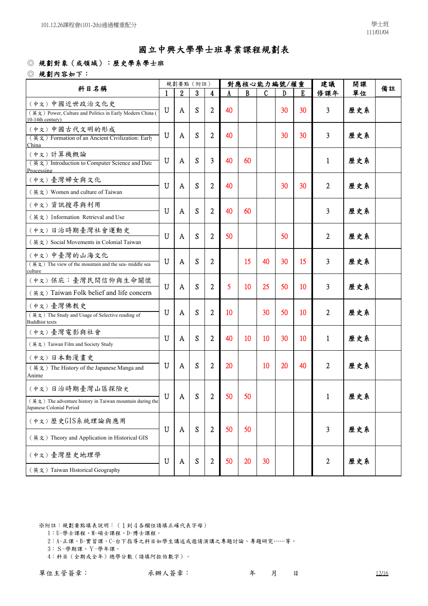#### ◎ 規劃對象(或領域):歷史學系學士班

#### ◎ 規劃內容如下:

|                                                                                                                     |              | 規劃要點 (附註)        |   |                  |    |    | 對應核心能力編號/權重  |    |    | 建議           | 開課  |    |
|---------------------------------------------------------------------------------------------------------------------|--------------|------------------|---|------------------|----|----|--------------|----|----|--------------|-----|----|
| 科目名稱                                                                                                                | $\mathbf{1}$ | $\boldsymbol{2}$ | 3 | 4                |    | R. | $\mathsf{C}$ | D  | F. | 修課年          | 單位  | 備註 |
| (中文)中國近世政治文化史<br>(英文) Power, Culture and Politics in Early Modern China (<br>10-14th century)                       | $\mathbf U$  | A                | S | $\overline{2}$   | 40 |    |              | 30 | 30 | 3            | 歷史系 |    |
| (中文)中國古代文明的形成<br>(英文) Formation of an Ancient Civilization: Early<br>China                                          | $\mathbf U$  | A                | S | 2                | 40 |    |              | 30 | 30 | 3            | 歷史系 |    |
| (中文) 計算機概論<br>(英文) Introduction to Computer Science and Data<br>Processing                                          | U            | A                | S | 3                | 40 | 60 |              |    |    | 1            | 歷史系 |    |
| (中文)臺灣婦女與文化<br>(英文) Women and culture of Taiwan                                                                     | U            | A                | S | $\overline{2}$   | 40 |    |              | 30 | 30 | 2            | 歷史系 |    |
| (中文)資訊搜尋與利用<br>(英文) Information Retrieval and Use                                                                   | $\mathbf U$  | A                | S | 2                | 40 | 60 |              |    |    | 3            | 歷史系 |    |
| (中文)日治時期臺灣社會運動史<br>(英文) Social Movements in Colonial Taiwan                                                         | $\mathbf U$  | A                | S | $\overline{2}$   | 50 |    |              | 50 |    | 2            | 歷史系 |    |
| (中文)中臺灣的山海文化<br>$(\frac{3\pi}{2})$ The view of the mountain and the sea- middle sea<br>culture                      | U            | A                | S | 2                |    | 15 | 40           | 30 | 15 | 3            | 歷史系 |    |
| (中文) 保庇:臺灣民間信仰與生命關懷<br>(英文) Taiwan Folk belief and life concern                                                     | $\mathbf U$  | A                | S | $\overline{2}$   | 5  | 10 | 25           | 50 | 10 | 3            | 歷史系 |    |
| (中文)臺灣佛教史<br>(英文) The Study and Usage of Selective reading of<br><b>Buddhist texts</b>                              | U            | A                | S | 2                | 10 |    | 30           | 50 | 10 | 2            | 歷史系 |    |
| (中文)臺灣電影與社會<br>(英文) Taiwan Film and Society Study                                                                   | $\mathbf U$  | A                | S | 2                | 40 | 10 | 10           | 30 | 10 | $\mathbf{1}$ | 歷史系 |    |
| (中文)日本動漫畫史<br>(英文) The History of the Japanese Manga and<br>Anime                                                   | U            | A                | S | 2                | 20 |    | 10           | 20 | 40 | 2            | 歷史系 |    |
| (中文)日治時期臺灣山區探險史<br>$(\nexists \xi)$ The adventure history in Taiwan mountain during the<br>Japanese Colonial Period | $\mathbf U$  | A                | S | $\boldsymbol{2}$ | 50 | 50 |              |    |    | $\mathbf{1}$ | 歷史系 |    |
| (中文)歷史GIS系統理論與應用<br>(英文) Theory and Application in Historical GIS                                                   | $\mathbf U$  | A                | S | $\overline{2}$   | 50 | 50 |              |    |    | 3            | 歷史系 |    |
| (中文)臺灣歷史地理學<br>(英文) Taiwan Historical Geography                                                                     | $\mathbf U$  | A                | S | $\boldsymbol{2}$ | 50 | 20 | 30           |    |    | 2            | 歷史系 |    |

- 1:U-學士課程、M-碩士課程、D-博士課程。
- 2:A-正課、B-實習課、C-台下指導之科目如學生講述或邀請演講之專題討論、專題研究……等。
- 3:S-學期課、Y-學年課。
- 4:科目(全期或全年)總學分數(請填阿拉伯數字)。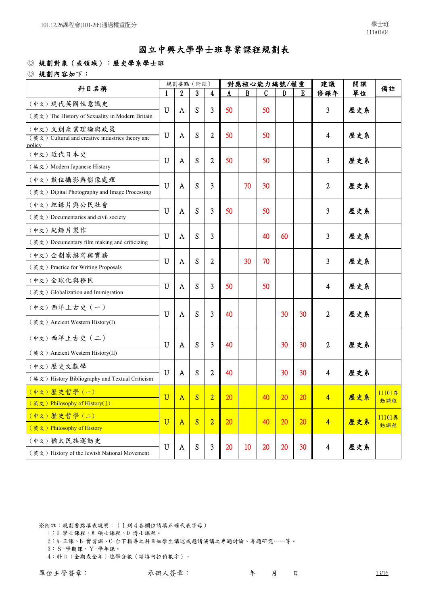### ◎ 規劃對象(或領域):歷史學系學士班

◎ 規劃內容如下:

| 科目名稱                                                                                    |                       |              | 規劃要點 (附註) |                |    |              | 對應核心能力編號/權重 |    |                 | 建議                      | 開課  | 備註     |
|-----------------------------------------------------------------------------------------|-----------------------|--------------|-----------|----------------|----|--------------|-------------|----|-----------------|-------------------------|-----|--------|
|                                                                                         |                       | 2            | 3         | 4              |    | $\mathbf{B}$ | C           | D  | E               | 修課年                     | 單位  |        |
| (中文)現代英國性意識史                                                                            | $\mathbf U$           |              | S         |                | 50 |              |             |    |                 |                         |     |        |
| (英文) The History of Sexuality in Modern Britain                                         |                       | A            |           | 3              |    |              | 50          |    |                 | 3                       | 歷史系 |        |
| (中文)文創產業理論與政策<br>$(\nexists \xi)$ Cultural and creative industries theory and<br>policy | $\mathbf U$           | A            | S         | $\overline{2}$ | 50 |              | 50          |    |                 | 4                       | 歷史系 |        |
| (中文)近代日本史                                                                               | U                     | A            | S         | $\overline{2}$ | 50 |              | 50          |    |                 | 3                       | 歷史系 |        |
| (英文) Modern Japanese History                                                            |                       |              |           |                |    |              |             |    |                 |                         |     |        |
| (中文)數位攝影與影像處理                                                                           | U                     | A            | S         | 3              |    | 70           | 30          |    |                 | 2                       | 歷史系 |        |
| (英文) Digital Photography and Image Processing                                           |                       |              |           |                |    |              |             |    |                 |                         |     |        |
| (中文)紀錄片與公民社會                                                                            | U                     | A            | S         | 3              | 50 |              | 50          |    |                 | 3                       | 歷史系 |        |
| (英文) Documentaries and civil society                                                    |                       |              |           |                |    |              |             |    |                 |                         |     |        |
| (中文)紀錄片製作                                                                               | U                     | A            | S         | 3              |    |              | 40          | 60 |                 | 3                       | 歷史系 |        |
| (英文) Documentary film making and criticizing                                            |                       |              |           |                |    |              |             |    |                 |                         |     |        |
| (中文)企劃案撰寫與實務                                                                            | U                     | A            | S         | $\overline{c}$ |    | 30           | 70          |    |                 | 3                       | 歷史系 |        |
| (英文) Practice for Writing Proposals                                                     |                       |              |           |                |    |              |             |    |                 |                         |     |        |
| (中文)全球化與移民                                                                              | U                     | A            | S         | 3              | 50 |              | 50          |    |                 | 4                       | 歷史系 |        |
| (英文) Globalization and Immigration                                                      |                       |              |           |                |    |              |             |    |                 |                         |     |        |
| (中文)西洋上古史 (一)                                                                           | U                     | A            | S         | 3              | 40 |              |             | 30 | 30              | $\overline{2}$          | 歷史系 |        |
| (英文) Ancient Western History(I)                                                         |                       |              |           |                |    |              |             |    |                 |                         |     |        |
| (中文)西洋上古史 (二)                                                                           | U                     | A            | S         | 3              | 40 |              |             | 30 | 30              | 2                       | 歷史系 |        |
| (英文) Ancient Western History(II)                                                        |                       |              |           |                |    |              |             |    |                 |                         |     |        |
| (中文) 歷史文獻學                                                                              | $\mathbf U$           |              | S         |                | 40 |              |             |    | 30              |                         |     |        |
| (英文) History Bibliography and Textual Criticism                                         |                       | A            |           | $\overline{2}$ |    |              |             | 30 |                 | $\overline{\mathbf{4}}$ | 歷史系 |        |
| (中文)歷史哲學(一)                                                                             | $\overline{\text{U}}$ |              | S         | $\overline{2}$ | 20 |              | 40          | 20 | 20              |                         | 歷史系 | 11101異 |
| (英文) Philosophy of History(I)                                                           |                       | $\mathbf{A}$ |           |                |    |              |             |    |                 | 4                       |     | 動課程    |
| (中文)歷史哲學(二)                                                                             | $\overline{\text{U}}$ | $\mathbf{A}$ | S         | $\overline{2}$ | 20 |              | 40          | 20 | 20              | $\overline{4}$          | 歷史系 | 11101異 |
| (英文) Philosophy of History                                                              |                       |              |           |                |    |              |             |    |                 |                         |     | 動課程    |
| (中文)猶太民族運動史                                                                             | $\mathbf U$           | A            | S         | 3              | 20 | 10           | 20          | 20 | 30 <sup>°</sup> | $\overline{4}$          | 歷史系 |        |
| (英文) History of the Jewish National Movement                                            |                       |              |           |                |    |              |             |    |                 |                         |     |        |

※附註:規劃要點填表說明:(1到4各欄位請填正確代表字母)

- 1:U-學士課程、M-碩士課程、D-博士課程。
- 2:A-正課、B-實習課、C-台下指導之科目如學生講述或邀請演講之專題討論、專題研究……等。
- 3:S-學期課、Y-學年課。
- 4:科目(全期或全年)總學分數(請填阿拉伯數字)。

單位主管簽章: 不辨人簽章: 不許不定 再 月 日 13/16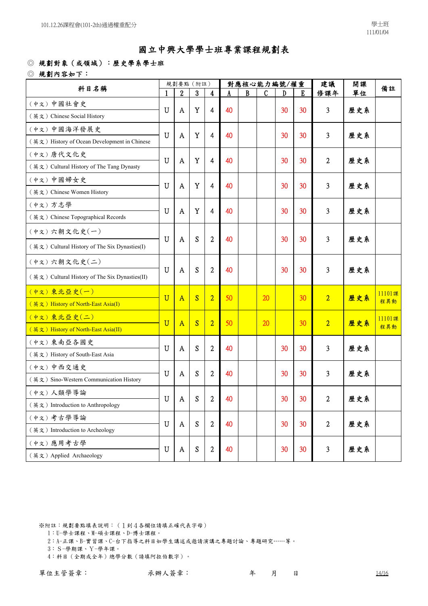### ◎ 規劃對象(或領域):歷史學系學士班

◎ 規劃內容如下:

| 科目名稱                                           |                       | 規劃要點 (附註)               |   |                |    |   | 對應核心能力編號/權重   |    |                 | 建議             | 開課  | 備註     |
|------------------------------------------------|-----------------------|-------------------------|---|----------------|----|---|---------------|----|-----------------|----------------|-----|--------|
|                                                |                       | 2                       | 3 | 4              |    | B | $\mathcal{C}$ | D  | E               | 修課年            | 單位  |        |
| (中文)中國社會史                                      | U                     |                         | Y |                | 40 |   |               | 30 | 30              | 3              |     |        |
| (英文) Chinese Social History                    |                       | A                       |   | 4              |    |   |               |    |                 |                | 歷史系 |        |
| (中文)中國海洋發展史                                    | U                     | A                       | Y | 4              | 40 |   |               | 30 | 30              | 3              | 歷史系 |        |
| (英文) History of Ocean Development in Chinese   |                       |                         |   |                |    |   |               |    |                 |                |     |        |
| (中文) 唐代文化史                                     | U                     | A                       | Y | 4              | 40 |   |               | 30 | 30              | $\overline{2}$ | 歷史系 |        |
| (英文) Cultural History of The Tang Dynasty      |                       |                         |   |                |    |   |               |    |                 |                |     |        |
| (中文)中國婦女史                                      | U                     | A                       | Y | 4              | 40 |   |               | 30 | 30              | 3              | 歷史系 |        |
| (英文) Chinese Women History                     |                       |                         |   |                |    |   |               |    |                 |                |     |        |
| (中文)方志學                                        | U                     | A                       | Y | 4              | 40 |   |               | 30 | 30              | 3              | 歷史系 |        |
| (英文) Chinese Topographical Records             |                       |                         |   |                |    |   |               |    |                 |                |     |        |
| (中文)六朝文化史(一)                                   |                       |                         |   |                |    |   |               |    |                 |                |     |        |
| (英文) Cultural History of The Six Dynasties(I)  | U                     | A                       | S | $\overline{2}$ | 40 |   |               | 30 | 30              | 3              | 歷史系 |        |
| (中文)六朝文化史(二)                                   |                       |                         |   |                |    |   |               |    |                 |                |     |        |
| (英文) Cultural History of The Six Dynasties(II) | U                     | A                       | S | $\overline{2}$ | 40 |   |               | 30 | 30              | 3              | 歷史系 |        |
| (中文)東北亞史(一)                                    | $\overline{\text{U}}$ | $\overline{\mathbf{A}}$ | S | $\overline{2}$ | 50 |   | 20            |    | 30              | $\overline{2}$ | 歷史系 | 11101課 |
| (英文) History of North-East Asia(I)             |                       |                         |   |                |    |   |               |    |                 |                |     | 程異動    |
| (中文)東北亞史(二)                                    | $\overline{\text{U}}$ | $\mathbf{A}$            | S | $\overline{2}$ | 50 |   | 20            |    | 30              | $\overline{2}$ | 歷史系 | 11101課 |
| (英文) History of North-East Asia(II)            |                       |                         |   |                |    |   |               |    |                 |                |     | 程異動    |
| (中文)東南亞各國史                                     | U                     | A                       | S | $\overline{2}$ | 40 |   |               | 30 | 30              | 3              | 歷史系 |        |
| (英文) History of South-East Asia                |                       |                         |   |                |    |   |               |    |                 |                |     |        |
| (中文)中西交通史                                      | U                     | A                       | S | $\overline{2}$ | 40 |   |               | 30 | 30              | 3              | 歷史系 |        |
| (英文) Sino-Western Communication History        |                       |                         |   |                |    |   |               |    |                 |                |     |        |
| (中文)人類學導論                                      | $\mathbf U$           | A                       | S | $\overline{c}$ | 40 |   |               | 30 | 30              | 2              | 歷史系 |        |
| (英文) Introduction to Anthropology              |                       |                         |   |                |    |   |               |    |                 |                |     |        |
| (中文)考古學導論                                      | $\mathbf U$           | A                       | S | $\overline{2}$ | 40 |   |               | 30 | 30 <sup>°</sup> | $\overline{2}$ | 歷史系 |        |
| (英文) Introduction to Archeology                |                       |                         |   |                |    |   |               |    |                 |                |     |        |
| (中文)應用考古學                                      | $\mathbf U$           | A                       | S | $\overline{2}$ | 40 |   |               | 30 | 30              | 3              | 歷史系 |        |
| (英文) Applied Archaeology                       |                       |                         |   |                |    |   |               |    |                 |                |     |        |

※附註:規劃要點填表說明:(1到4各欄位請填正確代表字母)

- 1:U-學士課程、M-碩士課程、D-博士課程。
- 2:A-正課、B-實習課、C-台下指導之科目如學生講述或邀請演講之專題討論、專題研究……等。
- 3:S-學期課、Y-學年課。
- 4:科目(全期或全年)總學分數(請填阿拉伯數字)。

單位主管簽章: 不辨人簽章: 不許不定 再 月 日 14/16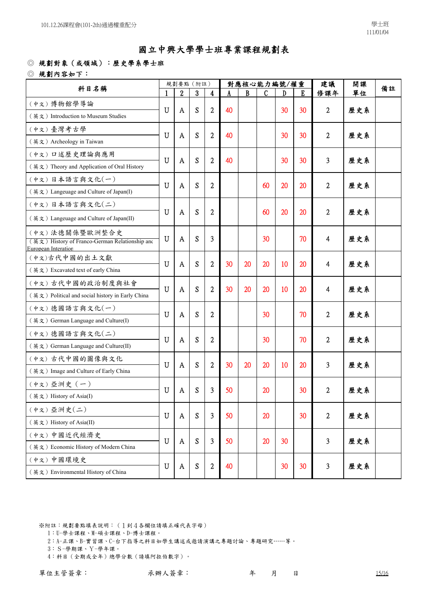### ◎ 規劃對象(或領域):歷史學系學士班

◎ 規劃內容如下:

| 科目名稱                                                             |             |              | 規劃要點 (附註)        |                         |    |    | 對應核心能力編號/權重  |    |             | 建議             | 開課  | 備註 |
|------------------------------------------------------------------|-------------|--------------|------------------|-------------------------|----|----|--------------|----|-------------|----------------|-----|----|
|                                                                  |             | 2            | $\boldsymbol{3}$ | $\overline{\mathbf{4}}$ |    | B  | $\mathbf{C}$ | D  | $\mathbf E$ | 修課年            | 單位  |    |
| (中文)博物館學導論                                                       | U           | A            | S                | $\overline{2}$          | 40 |    |              | 30 | 30          | $\overline{2}$ | 歷史系 |    |
| (英文) Introduction to Museum Studies                              |             |              |                  |                         |    |    |              |    |             |                |     |    |
| (中文)臺灣考古學                                                        | U           | A            | S                | $\overline{2}$          | 40 |    |              | 30 | 30          | $\overline{2}$ | 歷史系 |    |
| (英文) Archeology in Taiwan                                        |             |              |                  |                         |    |    |              |    |             |                |     |    |
| (中文)口述歷史理論與應用                                                    | U           | A            | S                | $\overline{2}$          | 40 |    |              | 30 | 30          | 3              | 歷史系 |    |
| (英文) Theory and Application of Oral History                      |             |              |                  |                         |    |    |              |    |             |                |     |    |
| (中文)日本語言與文化(一)                                                   | $\mathbf U$ | A            | S                | $\overline{2}$          |    |    | 60           | 20 | 20          | $\overline{2}$ | 歷史系 |    |
| (英文) Langeuage and Culture of Japan(I)                           |             |              |                  |                         |    |    |              |    |             |                |     |    |
| (中文)日本語言與文化(二)                                                   |             |              |                  |                         |    |    |              |    |             |                |     |    |
| (英文) Langeuage and Culture of Japan(II)                          | U           | A            | S                | $\overline{2}$          |    |    | 60           | 20 | 20          | $\overline{2}$ | 歷史系 |    |
| (中文)法德關係暨歐洲整合史<br>(英文) History of Franco-German Relationship and | $\mathbf U$ | A            | S                | 3                       |    |    | 30           |    | 70          | $\overline{4}$ | 歷史系 |    |
| European Interation                                              |             |              |                  |                         |    |    |              |    |             |                |     |    |
| (中文)古代中國的出土文獻                                                    | U           |              | S                | $\overline{2}$          | 30 | 20 | 20           | 10 | 20          |                | 歷史系 |    |
| (英文) Excavated text of early China                               |             | A            |                  |                         |    |    |              |    |             | 4              |     |    |
| (中文)古代中國的政治制度與社會                                                 | U           | A            | S                | $\overline{2}$          | 30 | 20 | 20           | 10 | 20          | $\overline{4}$ | 歷史系 |    |
| (英文) Political and social history in Early China                 |             |              |                  |                         |    |    |              |    |             |                |     |    |
| (中文)德國語言與文化(一)                                                   | U           | A            | S                | $\overline{2}$          |    |    | 30           |    | 70          | $\overline{2}$ | 歷史系 |    |
| (英文) German Language and Culture(I)                              |             |              |                  |                         |    |    |              |    |             |                |     |    |
| (中文)德國語言與文化(二)                                                   | U           | A            | S                | $\overline{2}$          |    |    | 30           |    | 70          | $\overline{2}$ | 歷史系 |    |
| (英文) German Language and Culture(II)                             |             |              |                  |                         |    |    |              |    |             |                |     |    |
| (中文)古代中國的圖像與文化                                                   | U           | A            | S                | $\overline{2}$          | 30 | 20 | 20           | 10 | 20          | 3              | 歷史系 |    |
| (英文) Image and Culture of Early China                            |             |              |                  |                         |    |    |              |    |             |                |     |    |
| (中文) 亞洲史 (一)                                                     | U           | A            | S                | 3                       | 50 |    | 20           |    | 30          | $\overline{2}$ | 歷史系 |    |
| (英文) History of Asia(I)                                          |             |              |                  |                         |    |    |              |    |             |                |     |    |
| (中文) 亞洲史(二)                                                      | U           | $\mathbf{A}$ | S                | 3                       | 50 |    | 20           |    | 30          | $\overline{2}$ | 歷史系 |    |
| (英文) History of Asia(II)                                         |             |              |                  |                         |    |    |              |    |             |                |     |    |
| (中文)中國近代經濟史                                                      | U           |              | S                | 3                       | 50 |    | 20           | 30 |             | 3              |     |    |
| (英文) Economic History of Modern China                            |             | A            |                  |                         |    |    |              |    |             |                | 歷史系 |    |
| (中文)中國環境史                                                        | $\mathbf U$ | A            | S                | $\overline{c}$          | 40 |    |              | 30 | 30          | 3              | 歷史系 |    |
| (英文) Environmental History of China                              |             |              |                  |                         |    |    |              |    |             |                |     |    |

- 1:U-學士課程、M-碩士課程、D-博士課程。
- 2:A-正課、B-實習課、C-台下指導之科目如學生講述或邀請演講之專題討論、專題研究……等。
- 3:S-學期課、Y-學年課。
- 4:科目(全期或全年)總學分數(請填阿拉伯數字)。